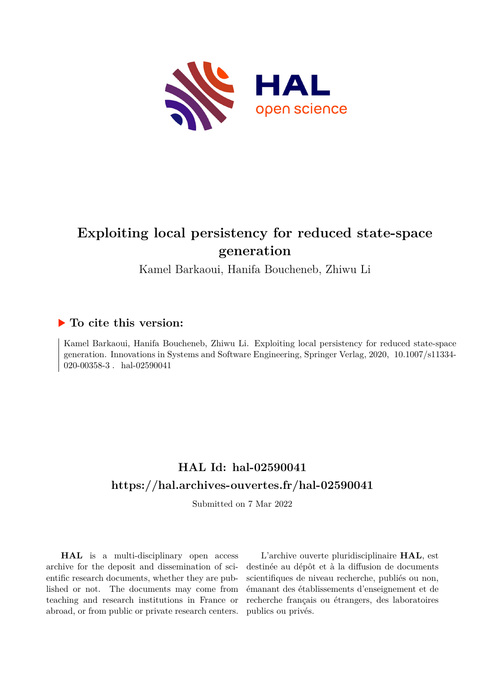

# **Exploiting local persistency for reduced state-space generation**

Kamel Barkaoui, Hanifa Boucheneb, Zhiwu Li

## **To cite this version:**

Kamel Barkaoui, Hanifa Boucheneb, Zhiwu Li. Exploiting local persistency for reduced state-space generation. Innovations in Systems and Software Engineering, Springer Verlag, 2020, 10.1007/s11334-020-00358-3. hal-02590041

# **HAL Id: hal-02590041 <https://hal.archives-ouvertes.fr/hal-02590041>**

Submitted on 7 Mar 2022

**HAL** is a multi-disciplinary open access archive for the deposit and dissemination of scientific research documents, whether they are published or not. The documents may come from teaching and research institutions in France or abroad, or from public or private research centers.

L'archive ouverte pluridisciplinaire **HAL**, est destinée au dépôt et à la diffusion de documents scientifiques de niveau recherche, publiés ou non, émanant des établissements d'enseignement et de recherche français ou étrangers, des laboratoires publics ou privés.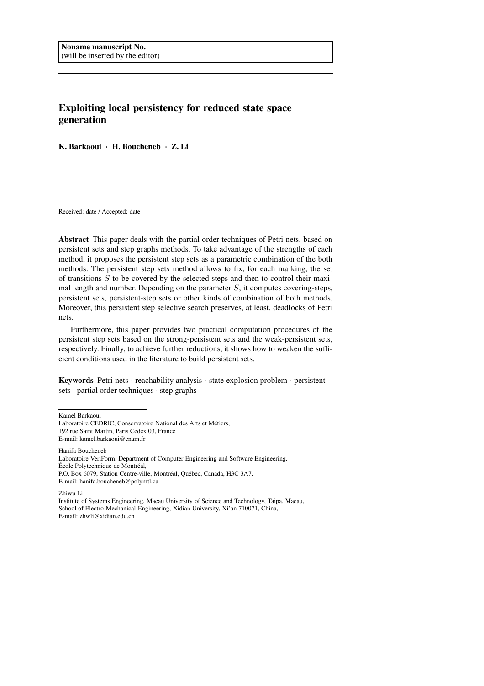## Exploiting local persistency for reduced state space generation

K. Barkaoui · H. Boucheneb · Z. Li

Received: date / Accepted: date

Abstract This paper deals with the partial order techniques of Petri nets, based on persistent sets and step graphs methods. To take advantage of the strengths of each method, it proposes the persistent step sets as a parametric combination of the both methods. The persistent step sets method allows to fix, for each marking, the set of transitions  $S$  to be covered by the selected steps and then to control their maximal length and number. Depending on the parameter S, it computes covering-steps, persistent sets, persistent-step sets or other kinds of combination of both methods. Moreover, this persistent step selective search preserves, at least, deadlocks of Petri nets.

Furthermore, this paper provides two practical computation procedures of the persistent step sets based on the strong-persistent sets and the weak-persistent sets, respectively. Finally, to achieve further reductions, it shows how to weaken the sufficient conditions used in the literature to build persistent sets.

Keywords Petri nets · reachability analysis · state explosion problem · persistent sets · partial order techniques · step graphs

Kamel Barkaoui

Hanifa Boucheneb

Zhiwu Li

Institute of Systems Engineering, Macau University of Science and Technology, Taipa, Macau, School of Electro-Mechanical Engineering, Xidian University, Xi'an 710071, China, E-mail: zhwli@xidian.edu.cn

Laboratoire CEDRIC, Conservatoire National des Arts et Métiers, 192 rue Saint Martin, Paris Cedex 03, France

E-mail: kamel.barkaoui@cnam.fr

Laboratoire VeriForm, Department of Computer Engineering and Software Engineering, École Polytechnique de Montréal, P.O. Box 6079, Station Centre-ville, Montréal, Québec, Canada, H3C 3A7.

E-mail: hanifa.boucheneb@polymtl.ca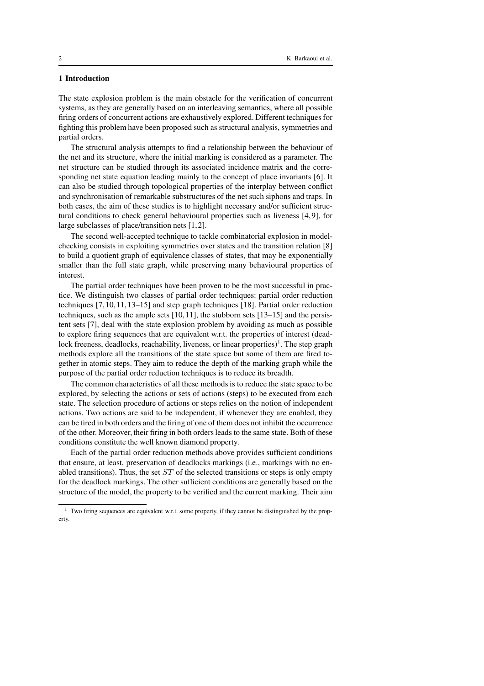## 1 Introduction

The state explosion problem is the main obstacle for the verification of concurrent systems, as they are generally based on an interleaving semantics, where all possible firing orders of concurrent actions are exhaustively explored. Different techniques for fighting this problem have been proposed such as structural analysis, symmetries and partial orders.

The structural analysis attempts to find a relationship between the behaviour of the net and its structure, where the initial marking is considered as a parameter. The net structure can be studied through its associated incidence matrix and the corresponding net state equation leading mainly to the concept of place invariants [6]. It can also be studied through topological properties of the interplay between conflict and synchronisation of remarkable substructures of the net such siphons and traps. In both cases, the aim of these studies is to highlight necessary and/or sufficient structural conditions to check general behavioural properties such as liveness [4,9], for large subclasses of place/transition nets [1,2].

The second well-accepted technique to tackle combinatorial explosion in modelchecking consists in exploiting symmetries over states and the transition relation [8] to build a quotient graph of equivalence classes of states, that may be exponentially smaller than the full state graph, while preserving many behavioural properties of interest.

The partial order techniques have been proven to be the most successful in practice. We distinguish two classes of partial order techniques: partial order reduction techniques [7,10,11,13–15] and step graph techniques [18]. Partial order reduction techniques, such as the ample sets [10,11], the stubborn sets [13–15] and the persistent sets [7], deal with the state explosion problem by avoiding as much as possible to explore firing sequences that are equivalent w.r.t. the properties of interest (deadlock freeness, deadlocks, reachability, liveness, or linear properties)<sup>1</sup>. The step graph methods explore all the transitions of the state space but some of them are fired together in atomic steps. They aim to reduce the depth of the marking graph while the purpose of the partial order reduction techniques is to reduce its breadth.

The common characteristics of all these methods is to reduce the state space to be explored, by selecting the actions or sets of actions (steps) to be executed from each state. The selection procedure of actions or steps relies on the notion of independent actions. Two actions are said to be independent, if whenever they are enabled, they can be fired in both orders and the firing of one of them does not inhibit the occurrence of the other. Moreover, their firing in both orders leads to the same state. Both of these conditions constitute the well known diamond property.

Each of the partial order reduction methods above provides sufficient conditions that ensure, at least, preservation of deadlocks markings (i.e., markings with no enabled transitions). Thus, the set  $ST$  of the selected transitions or steps is only empty for the deadlock markings. The other sufficient conditions are generally based on the structure of the model, the property to be verified and the current marking. Their aim

<sup>&</sup>lt;sup>1</sup> Two firing sequences are equivalent w.r.t. some property, if they cannot be distinguished by the property.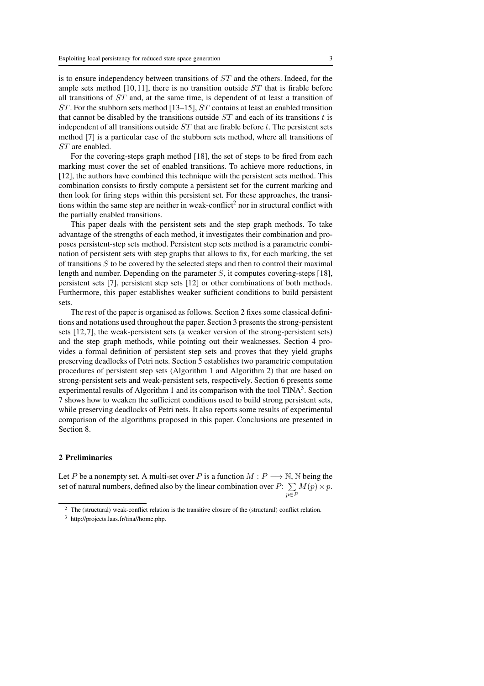is to ensure independency between transitions of ST and the others. Indeed, for the ample sets method [10,11], there is no transition outside  $ST$  that is firable before all transitions of  $ST$  and, at the same time, is dependent of at least a transition of ST . For the stubborn sets method [13–15], ST contains at least an enabled transition that cannot be disabled by the transitions outside  $ST$  and each of its transitions t is independent of all transitions outside  $ST$  that are firable before t. The persistent sets method [7] is a particular case of the stubborn sets method, where all transitions of ST are enabled.

For the covering-steps graph method [18], the set of steps to be fired from each marking must cover the set of enabled transitions. To achieve more reductions, in [12], the authors have combined this technique with the persistent sets method. This combination consists to firstly compute a persistent set for the current marking and then look for firing steps within this persistent set. For these approaches, the transitions within the same step are neither in weak-conflict<sup>2</sup> nor in structural conflict with the partially enabled transitions.

This paper deals with the persistent sets and the step graph methods. To take advantage of the strengths of each method, it investigates their combination and proposes persistent-step sets method. Persistent step sets method is a parametric combination of persistent sets with step graphs that allows to fix, for each marking, the set of transitions  $S$  to be covered by the selected steps and then to control their maximal length and number. Depending on the parameter S, it computes covering-steps [18], persistent sets [7], persistent step sets [12] or other combinations of both methods. Furthermore, this paper establishes weaker sufficient conditions to build persistent sets.

The rest of the paper is organised as follows. Section 2 fixes some classical definitions and notations used throughout the paper. Section 3 presents the strong-persistent sets [12,7], the weak-persistent sets (a weaker version of the strong-persistent sets) and the step graph methods, while pointing out their weaknesses. Section 4 provides a formal definition of persistent step sets and proves that they yield graphs preserving deadlocks of Petri nets. Section 5 establishes two parametric computation procedures of persistent step sets (Algorithm 1 and Algorithm 2) that are based on strong-persistent sets and weak-persistent sets, respectively. Section 6 presents some experimental results of Algorithm 1 and its comparison with the tool  $\text{TINA}^3$ . Section 7 shows how to weaken the sufficient conditions used to build strong persistent sets, while preserving deadlocks of Petri nets. It also reports some results of experimental comparison of the algorithms proposed in this paper. Conclusions are presented in Section 8.

## 2 Preliminaries

Let P be a nonempty set. A multi-set over P is a function  $M : P \longrightarrow \mathbb{N}$ , N being the set of natural numbers, defined also by the linear combination over  $P: \sum$ p∈P  $M(p)\times p$ .

The (structural) weak-conflict relation is the transitive closure of the (structural) conflict relation.

<sup>3</sup> http://projects.laas.fr/tina//home.php.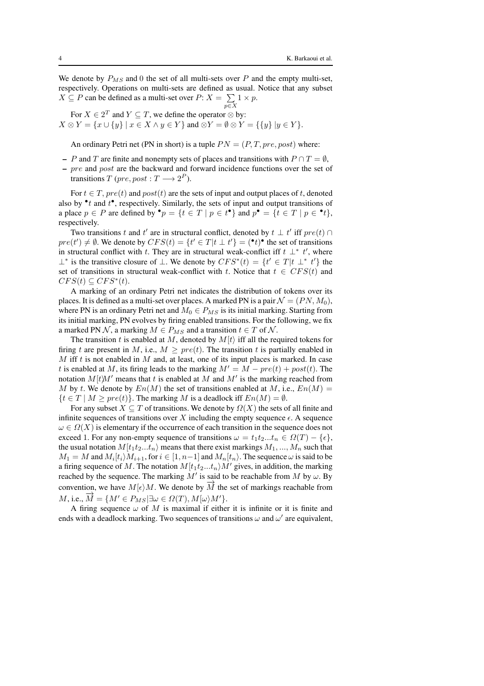We denote by  $P_{MS}$  and 0 the set of all multi-sets over P and the empty multi-set, respectively. Operations on multi-sets are defined as usual. Notice that any subset  $X \subseteq P$  can be defined as a multi-set over  $P: X = \sum 1 \times p$ .  $p{\in}X$ 

For  $X \in 2^T$  and  $Y \subseteq T$ , we define the operator  $\otimes$  by:  $X \otimes Y = \{x \cup \{y\} \mid x \in X \land y \in Y\}$  and  $\otimes Y = \emptyset \otimes Y = \{\{y\} \mid y \in Y\}.$ 

An ordinary Petri net (PN in short) is a tuple  $PN = (P, T, pre, post)$  where:

- P and T are finite and nonempty sets of places and transitions with  $P \cap T = \emptyset$ ,
- pre and post are the backward and forward incidence functions over the set of transitions  $T$  (pre, post :  $T \longrightarrow 2^P$ ).

For  $t \in T$ ,  $pre(t)$  and  $post(t)$  are the sets of input and output places of t, denoted also by  $\cdot t$  and  $t$ <sup> $\cdot$ </sup>, respectively. Similarly, the sets of input and output transitions of a place  $p \in P$  are defined by  $\mathbf{P} = \{t \in T \mid p \in t^{\bullet}\}\$  and  $p^{\bullet} = \{t \in T \mid p \in \mathbf{P}\}\$ , respectively.

Two transitions t and t' are in structural conflict, denoted by  $t \perp t'$  iff  $pre(t) \cap$  $pre(t') \neq \emptyset$ . We denote by  $CFS(t) = \{t' \in T | t \perp t'\} = (\bullet t) \bullet$  the set of transitions in structural conflict with t. They are in structural weak-conflict iff  $t \perp^* t'$ , where ⊥\* is the transitive closure of ⊥. We denote by  $CFS^*(t) = \{t' \in T | t \perp^* t'\}$  the set of transitions in structural weak-conflict with t. Notice that  $t \in CFS(t)$  and  $CFS(t) \subseteq CFS^*(t).$ 

A marking of an ordinary Petri net indicates the distribution of tokens over its places. It is defined as a multi-set over places. A marked PN is a pair  $\mathcal{N} = (PN, M_0)$ , where PN is an ordinary Petri net and  $M_0 \in P_{MS}$  is its initial marking. Starting from its initial marking, PN evolves by firing enabled transitions. For the following, we fix a marked PN N, a marking  $M \in P_{MS}$  and a transition  $t \in T$  of N.

The transition t is enabled at M, denoted by  $M(t)$  iff all the required tokens for firing t are present in M, i.e.,  $M \ge pre(t)$ . The transition t is partially enabled in  $M$  iff  $t$  is not enabled in  $M$  and, at least, one of its input places is marked. In case t is enabled at M, its firing leads to the marking  $M' = M - pre(t) + post(t)$ . The notation  $M[t]M'$  means that t is enabled at M and M' is the marking reached from M by t. We denote by  $En(M)$  the set of transitions enabled at M, i.e.,  $En(M)$  =  ${t \in T \mid M > pre(t)}$ . The marking M is a deadlock iff  $En(M) = \emptyset$ .

For any subset  $X \subseteq T$  of transitions. We denote by  $\Omega(X)$  the sets of all finite and infinite sequences of transitions over X including the empty sequence  $\epsilon$ . A sequence  $\omega \in \Omega(X)$  is elementary if the occurrence of each transition in the sequence does not exceed 1. For any non-empty sequence of transitions  $\omega = t_1 t_2... t_n \in \Omega(T) - \{\epsilon\},\$ the usual notation  $M[t_1t_2...t_n]$  means that there exist markings  $M_1, ..., M_n$  such that  $M_1 = M$  and  $M_i[t_i]M_{i+1}$ , for  $i \in [1, n-1]$  and  $M_n[t_n)$ . The sequence  $\omega$  is said to be a firing sequence of M. The notation  $M[t_1t_2...t_n]M'$  gives, in addition, the marking reached by the sequence. The marking  $M'$  is said to be reachable from M by  $\omega$ . By convention, we have  $M[\epsilon/M]$ . We denote by  $\overrightarrow{M}$  the set of markings reachable from  $M$ , i.e.,  $\vec{M} = \{M' \in P_{MS} | \exists \omega \in \Omega(T), M[\omega\backslash M']\}.$ 

A firing sequence  $\omega$  of M is maximal if either it is infinite or it is finite and ends with a deadlock marking. Two sequences of transitions  $\omega$  and  $\omega'$  are equivalent,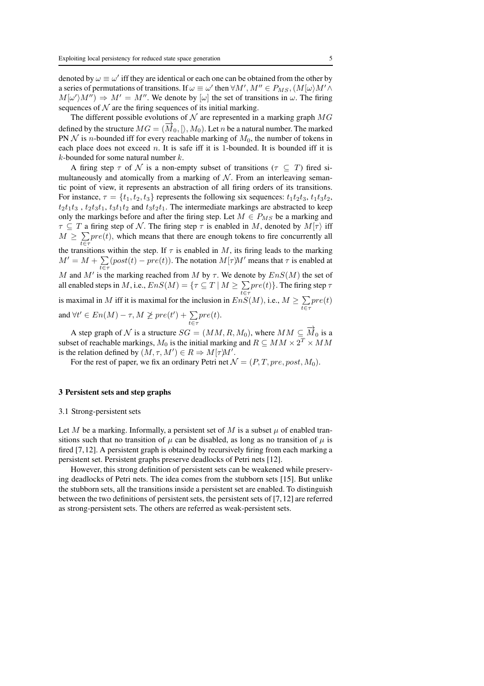denoted by  $\omega \equiv \omega'$  iff they are identical or each one can be obtained from the other by a series of permutations of transitions. If  $\omega \equiv \omega'$  then  $\forall M', M'' \in P_{MS}, (M[\omega)M' \wedge$  $M[\omega' \rangle M'') \Rightarrow M' = M''$ . We denote by  $[\omega]$  the set of transitions in  $\omega$ . The firing sequences of  $N$  are the firing sequences of its initial marking.

The different possible evolutions of  $N$  are represented in a marking graph  $MG$ defined by the structure  $MG = (\overline{M}_0, \beta, M_0)$ . Let n be a natural number. The marked PN  $N$  is *n*-bounded iff for every reachable marking of  $M_0$ , the number of tokens in each place does not exceed n. It is safe iff it is 1-bounded. It is bounded iff it is  $k$ -bounded for some natural number  $k$ .

A firing step  $\tau$  of  $\mathcal N$  is a non-empty subset of transitions ( $\tau \subseteq T$ ) fired simultaneously and atomically from a marking of  $N$ . From an interleaving semantic point of view, it represents an abstraction of all firing orders of its transitions. For instance,  $\tau = \{t_1, t_2, t_3\}$  represents the following six sequences:  $t_1t_2t_3$ ,  $t_1t_3t_2$ ,  $t_2t_1t_3$ ,  $t_2t_3t_1$ ,  $t_3t_1t_2$  and  $t_3t_2t_1$ . The intermediate markings are abstracted to keep only the markings before and after the firing step. Let  $M \in P_{MS}$  be a marking and  $\tau \subseteq T$  a firing step of N. The firing step  $\tau$  is enabled in M, denoted by  $M(\tau)$  iff  $M \geq \sum pre(t)$ , which means that there are enough tokens to fire concurrently all t∈ $\tau$  the transitions within the step. If  $\tau$  is enabled in M, its firing leads to the marking

 $M' = M + \sum_{t \in \tau} (post(t) - pre(t)).$  The notation  $M[\tau M']$  means that  $\tau$  is enabled at

M and M' is the marking reached from M by  $\tau$ . We denote by  $EnS(M)$  the set of all enabled steps in  $M$ , i.e.,  $EnS(M) = \{ \tau \subseteq T \mid M \geq \sum_{t \in \tau} pre(t) \}.$  The firing step  $\tau$ 

is maximal in M iff it is maximal for the inclusion in  $EnS(M)$ , i.e.,  $M \ge \sum_{t \in \tau} pre(t)$ 

and  $\forall t' \in En(M) - \tau, M \not\geq pre(t') + \sum_{t \in \tau} pre(t).$ A step graph of N is a structure  $SG = (MM, R, M_0)$ , where  $MM \subseteq \overrightarrow{M}_0$  is a

subset of reachable markings,  $M_0$  is the initial marking and  $R\subseteq MM \times 2^T \times MM$ is the relation defined by  $(M, \tau, M') \in R \Rightarrow M[\tau M']$ .

For the rest of paper, we fix an ordinary Petri net  $\mathcal{N} = (P, T, pre, post, M_0)$ .

#### 3 Persistent sets and step graphs

#### 3.1 Strong-persistent sets

Let M be a marking. Informally, a persistent set of M is a subset  $\mu$  of enabled transitions such that no transition of  $\mu$  can be disabled, as long as no transition of  $\mu$  is fired [7,12]. A persistent graph is obtained by recursively firing from each marking a persistent set. Persistent graphs preserve deadlocks of Petri nets [12].

However, this strong definition of persistent sets can be weakened while preserving deadlocks of Petri nets. The idea comes from the stubborn sets [15]. But unlike the stubborn sets, all the transitions inside a persistent set are enabled. To distinguish between the two definitions of persistent sets, the persistent sets of [7,12] are referred as strong-persistent sets. The others are referred as weak-persistent sets.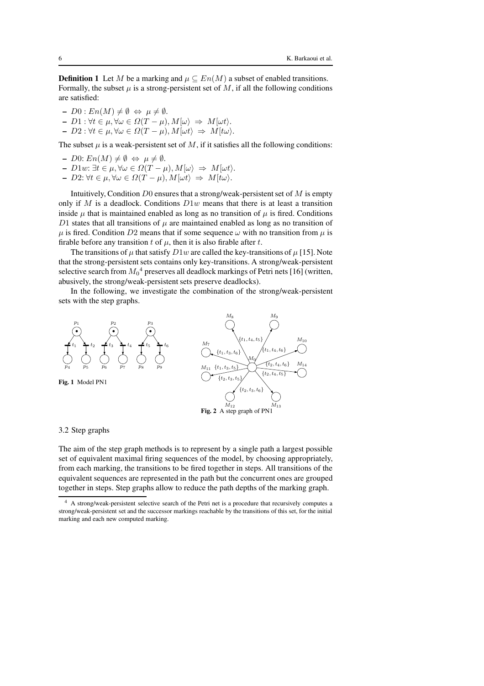**Definition 1** Let M be a marking and  $\mu \subseteq En(M)$  a subset of enabled transitions. Formally, the subset  $\mu$  is a strong-persistent set of M, if all the following conditions are satisfied:

- $D0 : En(M) \neq \emptyset \Leftrightarrow \mu \neq \emptyset.$
- $D1 : \forall t \in \mu, \forall \omega \in \Omega(T \mu), M[\omega\rangle \Rightarrow M[\omega t\rangle].$
- $D2: \forall t \in \mu, \forall \omega \in \Omega(T \mu), M[\omega t] \Rightarrow M[t\omega].$

The subset  $\mu$  is a weak-persistent set of  $M$ , if it satisfies all the following conditions:

- $D0: En(M) \neq \emptyset \Leftrightarrow \mu \neq \emptyset.$
- $D1w: \exists t \in \mu, \forall \omega \in \Omega(T \mu), M[\omega] \Rightarrow M[\omega t].$  $- D2: \forall t \in \mu, \forall \omega \in \Omega(T - \mu), M[\omega t] \Rightarrow M[t\omega].$

Intuitively, Condition  $D0$  ensures that a strong/weak-persistent set of M is empty only if M is a deadlock. Conditions  $D1w$  means that there is at least a transition inside  $\mu$  that is maintained enabled as long as no transition of  $\mu$  is fired. Conditions D1 states that all transitions of  $\mu$  are maintained enabled as long as no transition of  $\mu$  is fired. Condition D2 means that if some sequence  $\omega$  with no transition from  $\mu$  is firable before any transition t of  $\mu$ , then it is also firable after t.

The transitions of  $\mu$  that satisfy  $D1w$  are called the key-transitions of  $\mu$  [15]. Note that the strong-persistent sets contains only key-transitions. A strong/weak-persistent selective search from  $M_0{}^4$  preserves all deadlock markings of Petri nets [16] (written, abusively, the strong/weak-persistent sets preserve deadlocks).

In the following, we investigate the combination of the strong/weak-persistent sets with the step graphs.





3.2 Step graphs

The aim of the step graph methods is to represent by a single path a largest possible set of equivalent maximal firing sequences of the model, by choosing appropriately, from each marking, the transitions to be fired together in steps. All transitions of the equivalent sequences are represented in the path but the concurrent ones are grouped together in steps. Step graphs allow to reduce the path depths of the marking graph.

<sup>4</sup> A strong/weak-persistent selective search of the Petri net is a procedure that recursively computes a strong/weak-persistent set and the successor markings reachable by the transitions of this set, for the initial marking and each new computed marking.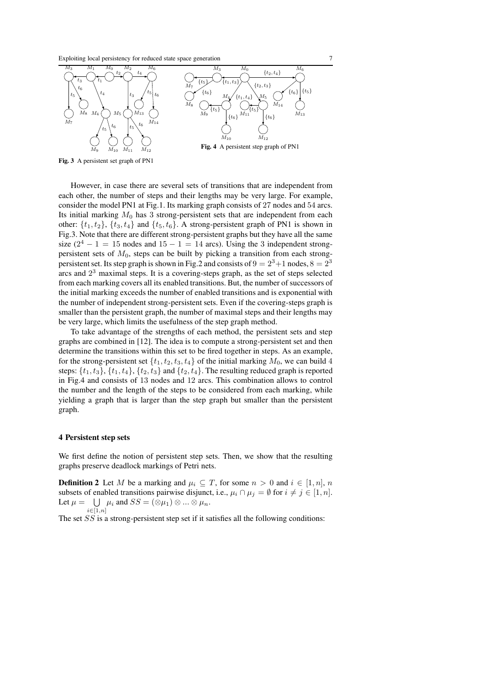Exploiting local persistency for reduced state space generation 7



Fig. 3 A persistent set graph of PN1

However, in case there are several sets of transitions that are independent from each other, the number of steps and their lengths may be very large. For example, consider the model PN1 at Fig.1. Its marking graph consists of 27 nodes and 54 arcs. Its initial marking  $M_0$  has 3 strong-persistent sets that are independent from each other:  $\{t_1, t_2\}$ ,  $\{t_3, t_4\}$  and  $\{t_5, t_6\}$ . A strong-persistent graph of PN1 is shown in Fig.3. Note that there are different strong-persistent graphs but they have all the same size  $(2^4 - 1 = 15$  nodes and  $15 - 1 = 14$  arcs). Using the 3 independent strongpersistent sets of  $M_0$ , steps can be built by picking a transition from each strongpersistent set. Its step graph is shown in Fig.2 and consists of  $9 = 2^3 + 1$  nodes,  $8 = 2^3$ arcs and  $2<sup>3</sup>$  maximal steps. It is a covering-steps graph, as the set of steps selected from each marking covers all its enabled transitions. But, the number of successors of the initial marking exceeds the number of enabled transitions and is exponential with the number of independent strong-persistent sets. Even if the covering-steps graph is smaller than the persistent graph, the number of maximal steps and their lengths may be very large, which limits the usefulness of the step graph method.

To take advantage of the strengths of each method, the persistent sets and step graphs are combined in [12]. The idea is to compute a strong-persistent set and then determine the transitions within this set to be fired together in steps. As an example, for the strong-persistent set  $\{t_1, t_2, t_3, t_4\}$  of the initial marking  $M_0$ , we can build 4 steps:  $\{t_1, t_3\}$ ,  $\{t_1, t_4\}$ ,  $\{t_2, t_3\}$  and  $\{t_2, t_4\}$ . The resulting reduced graph is reported in Fig.4 and consists of 13 nodes and 12 arcs. This combination allows to control the number and the length of the steps to be considered from each marking, while yielding a graph that is larger than the step graph but smaller than the persistent graph.

#### 4 Persistent step sets

We first define the notion of persistent step sets. Then, we show that the resulting graphs preserve deadlock markings of Petri nets.

**Definition 2** Let M be a marking and  $\mu_i \subseteq T$ , for some  $n > 0$  and  $i \in [1, n]$ , n subsets of enabled transitions pairwise disjunct, i.e.,  $\mu_i \cap \mu_j = \emptyset$  for  $i \neq j \in [1, n]$ . Let  $\mu = \bigcup \mu_i$  and  $SS = (\otimes \mu_1) \otimes ... \otimes \mu_n$ .  $i \in [1,n]$ 

The set  $SS$  is a strong-persistent step set if it satisfies all the following conditions: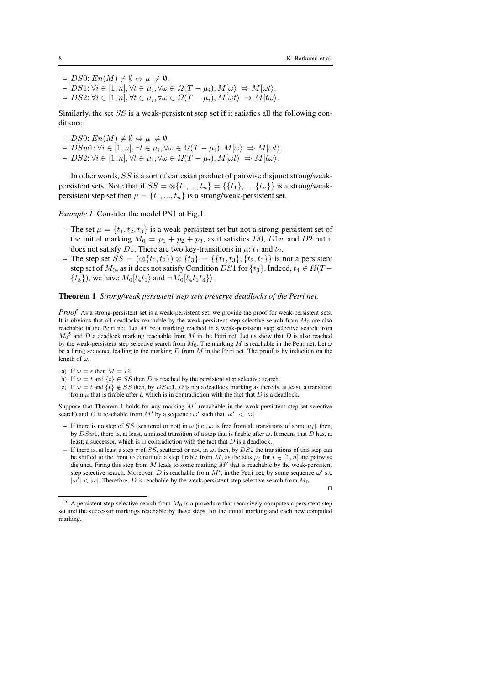- $DS0: En(M) \neq \emptyset \Leftrightarrow \mu \neq \emptyset.$
- $DS1: \forall i \in [1, n], \forall t \in \mu_i, \forall \omega \in \Omega(T \mu_i), M[\omega\rangle \Rightarrow M[\omega t\rangle.$
- $DS2: \forall i \in [1, n], \forall t \in \mu_i, \forall \omega \in \Omega(T \mu_i), M[\omega t \rangle \Rightarrow M[t\omega).$

Similarly, the set SS is a weak-persistent step set if it satisfies all the following conditions:

- $DS0: En(M) \neq \emptyset \Leftrightarrow \mu \neq \emptyset.$
- $-DSw1: \forall i \in [1, n], \exists t \in \mu_i, \forall \omega \in \Omega(T \mu_i), M[\omega\rangle \Rightarrow M[\omega t\rangle.$
- $DS2: \forall i \in [1, n], \forall t \in \mu_i, \forall \omega \in \Omega(T \mu_i), M[\omega t \rangle \Rightarrow M[t\omega).$

In other words, SS is a sort of cartesian product of pairwise disjunct strong/weakpersistent sets. Note that if  $SS = \otimes \{t_1, ..., t_n\} = \{\{t_1\}, ..., \{t_n\}\}\$ is a strong/weakpersistent step set then  $\mu = \{t_1, ..., t_n\}$  is a strong/weak-persistent set.

*Example 1* Consider the model PN1 at Fig.1.

- The set  $\mu = \{t_1, t_2, t_3\}$  is a weak-persistent set but not a strong-persistent set of the initial marking  $M_0 = p_1 + p_2 + p_3$ , as it satisfies D0, D1w and D2 but it does not satisfy D1. There are two key-transitions in  $\mu$ :  $t_1$  and  $t_2$ .
- The step set  $SS = (\otimes \{t_1, t_2\}) \otimes \{t_3\} = \{\{t_1, t_3\}, \{t_2, t_3\}\}\$ is not a persistent step set of  $M_0$ , as it does not satisfy Condition DS1 for  $\{t_3\}$ . Indeed,  $t_4 \in \Omega(T \{t_3\}$ , we have  $M_0[t_4t_1\rangle$  and  $\neg M_0[t_4t_1t_3\rangle\rangle$ .

#### Theorem 1 *Strong/weak persistent step sets preserve deadlocks of the Petri net.*

*Proof* As a strong-persistent set is a weak-persistent set, we provide the proof for weak-persistent sets. It is obvious that all deadlocks reachable by the weak-persistent step selective search from  $M_0$  are also reachable in the Petri net. Let M be a marking reached in a weak-persistent step selective search from  $M_0$ <sup>5</sup> and D a deadlock marking reachable from M in the Petri net. Let us show that D is also reached by the weak-persistent step selective search from  $M_0$ . The marking M is reachable in the Petri net. Let  $\omega$ be a firing sequence leading to the marking  $D$  from  $M$  in the Petri net. The proof is by induction on the length of  $\omega$ .

- a) If  $\omega = \epsilon$  then  $M = D$ .
- b) If  $\omega = t$  and  $\{t\} \in SS$  then D is reached by the persistent step selective search.
- c) If  $\omega = t$  and  $\{t\} \notin SS$  then, by  $DSw1$ , D is not a deadlock marking as there is, at least, a transition from  $\mu$  that is firable after t, which is in contradiction with the fact that  $D$  is a deadlock.

Suppose that Theorem 1 holds for any marking  $M'$  (reachable in the weak-persistent step set selective search) and D is reachable from M' by a sequence  $\omega'$  such that  $|\omega'| < |\omega|$ .

- If there is no step of SS (scattered or not) in  $\omega$  (i.e.,  $\omega$  is free from all transitions of some  $\mu_i$ ), then, by  $DSw1$ , there is, at least, a missed transition of a step that is firable after  $\omega$ . It means that D has, at least, a successor, which is in contradiction with the fact that D is a deadlock.
- If there is, at least a step  $\tau$  of SS, scattered or not, in  $\omega$ , then, by DS2 the transitions of this step can be shifted to the front to constitute a step firable from M, as the sets  $\mu_i$  for  $i \in [1, n]$  are pairwise disjunct. Firing this step from M leads to some marking  $M'$  that is reachable by the weak-persistent step selective search. Moreover, D is reachable from  $\overline{M}$ , in the Petri net, by some sequence  $\omega'$  s.t.  $|\omega'| < |\omega|$ . Therefore, D is reachable by the weak-persistent step selective search from  $M_0$ .

<sup>⊓⊔</sup>

 $5$  A persistent step selective search from  $M_0$  is a procedure that recursively computes a persistent step set and the successor markings reachable by these steps, for the initial marking and each new computed marking.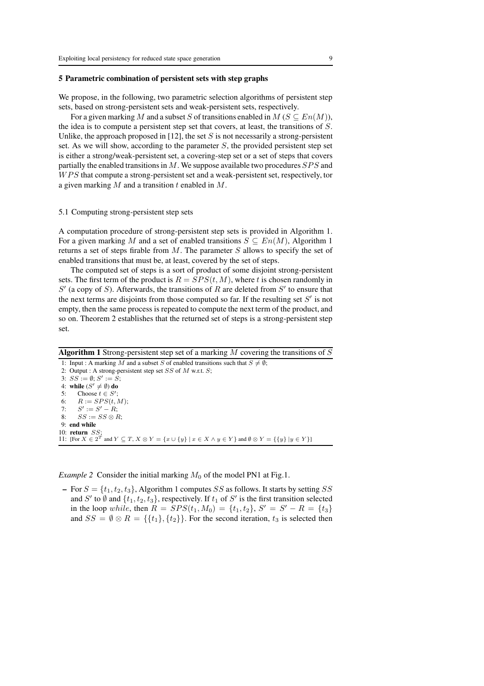### 5 Parametric combination of persistent sets with step graphs

We propose, in the following, two parametric selection algorithms of persistent step sets, based on strong-persistent sets and weak-persistent sets, respectively.

For a given marking M and a subset S of transitions enabled in  $M$  ( $S \subseteq En(M)$ ), the idea is to compute a persistent step set that covers, at least, the transitions of S. Unlike, the approach proposed in [12], the set S is not necessarily a strong-persistent set. As we will show, according to the parameter  $S$ , the provided persistent step set is either a strong/weak-persistent set, a covering-step set or a set of steps that covers partially the enabled transitions in  $M$ . We suppose available two procedures  $SPS$  and  $WPS$  that compute a strong-persistent set and a weak-persistent set, respectively, tor a given marking  $M$  and a transition  $t$  enabled in  $M$ .

### 5.1 Computing strong-persistent step sets

A computation procedure of strong-persistent step sets is provided in Algorithm 1. For a given marking M and a set of enabled transitions  $S \subseteq En(M)$ , Algorithm 1 returns a set of steps firable from  $M$ . The parameter  $S$  allows to specify the set of enabled transitions that must be, at least, covered by the set of steps.

The computed set of steps is a sort of product of some disjoint strong-persistent sets. The first term of the product is  $R = SPS(t, M)$ , where t is chosen randomly in  $S'$  (a copy of S). Afterwards, the transitions of R are deleted from  $S'$  to ensure that the next terms are disjoints from those computed so far. If the resulting set  $S'$  is not empty, then the same process is repeated to compute the next term of the product, and so on. Theorem 2 establishes that the returned set of steps is a strong-persistent step set.

Algorithm 1 Strong-persistent step set of  $\overline{a}$  marking M covering the transitions of S 1: Input : A marking M and a subset S of enabled transitions such that  $S \neq \emptyset$ ; 2: Output : A strong-persistent step set  $SS$  of  $M$  w.r.t.  $S$ ; 3:  $SS := \emptyset; S' := S;$ 4: while  $(S' \neq \emptyset)$  do 5: Choose  $t \in S'$ ; 6:  $R := SPS(t, M);$ 7:  $S' := S' - R;$ 8:  $SS := SS \otimes R$ : 9: end while 10: return  $SS$ 11: [For  $X \in 2^T$  and  $Y \subseteq T$ ,  $X \otimes Y = \{x \cup \{y\} \mid x \in X \wedge y \in Y\}$  and  $\emptyset \otimes Y = \{\{y\} \mid y \in Y\}$ ]

*Example 2* Consider the initial marking  $M_0$  of the model PN1 at Fig.1.

– For  $S = \{t_1, t_2, t_3\}$ , Algorithm 1 computes SS as follows. It starts by setting SS and S' to  $\emptyset$  and  $\{t_1, t_2, t_3\}$ , respectively. If  $t_1$  of S' is the first transition selected in the loop while, then  $R = SPS(t_1, M_0) = \{t_1, t_2\}$ ,  $S' = S' - R = \{t_3\}$ and  $SS = \emptyset \otimes R = \{\{t_1\}, \{t_2\}\}\.$  For the second iteration,  $t_3$  is selected then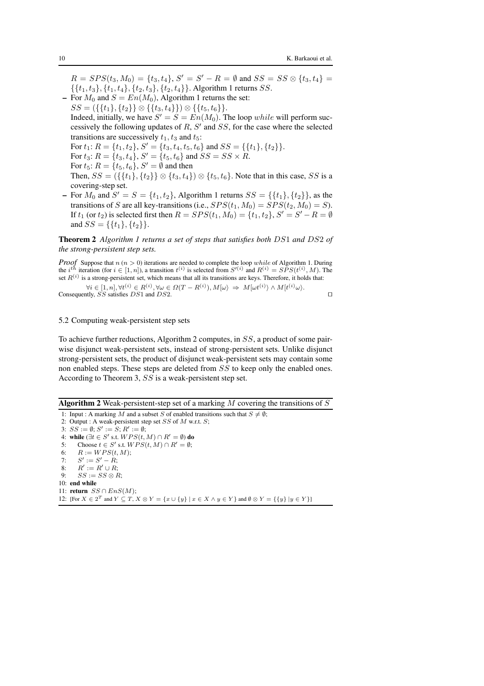$R = SPS(t_3, M_0) = \{t_3, t_4\}, S' = S' - R = \emptyset \text{ and } SS = SS \otimes \{t_3, t_4\} =$  $\{\{t_1, t_3\}, \{t_1, t_4\}, \{t_2, t_3\}, \{t_2, t_4\}\}\$ . Algorithm 1 returns *SS*. – For  $M_0$  and  $S = En(M_0)$ , Algorithm 1 returns the set:

- $SS = (\{\{t_1\}, \{t_2\}\}\otimes \{\{t_3, t_4\}\}) \otimes \{\{t_5, t_6\}\}.$ Indeed, initially, we have  $S' = S = En(M_0)$ . The loop while will perform successively the following updates of  $R$ ,  $S'$  and  $SS$ , for the case where the selected transitions are successively  $t_1, t_3$  and  $t_5$ : For  $t_1: R = \{t_1, t_2\}, S' = \{t_3, t_4, t_5, t_6\}$  and  $SS = \{\{t_1\}, \{t_2\}\}.$ For  $t_3$ :  $R = \{t_3, t_4\}$ ,  $S' = \{t_5, t_6\}$  and  $SS = SS \times R$ . For  $t_5$ :  $R = \{t_5, t_6\}$ ,  $S' = \emptyset$  and then Then,  $SS = (\{\{t_1\}, \{t_2\}\}\otimes \{t_3, t_4\}) \otimes \{t_5, t_6\}$ . Note that in this case, SS is a
	- covering-step set.
- For  $M_0$  and  $S' = S = \{t_1, t_2\}$ , Algorithm 1 returns  $SS = \{\{t_1\}, \{t_2\}\}\$ , as the transitions of S are all key-transitions (i.e.,  $SPS(t_1, M_0) = SPS(t_2, M_0) = S$ ). If  $t_1$  (or  $t_2$ ) is selected first then  $R = SPS(t_1, M_0) = \{t_1, t_2\}$ ,  $S' = S' - R = \emptyset$ and  $SS = \{\{t_1\}, \{t_2\}\}.$

Theorem 2 *Algorithm 1 returns a set of steps that satisfies both* DS1 *and* DS2 *of the strong-persistent step sets.*

*Proof* Suppose that  $n (n > 0)$  iterations are needed to complete the loop while of Algorithm 1. During the  $i^{th}$  iteration (for  $i \in [1, n]$ ), a transition  $t^{(i)}$  is selected from  $S^{(i)}$  and  $R^{(i)} = SPS(t^{(i)}, M)$ . The set  $R^{(i)}$  is a strong-persistent set, which means that all its transitions are keys. Therefore, it holds that:

 $\forall i \in [1, n], \forall t^{(i)} \in R^{(i)}, \forall \omega \in \Omega(T - R^{(i)}), M[\omega\rangle \Rightarrow M[\omega t^{(i)}\rangle \wedge M[t^{(i)}\omega\rangle].$ Consequently, SS satisfies DS1 and DS2. □

## 5.2 Computing weak-persistent step sets

To achieve further reductions, Algorithm 2 computes, in SS, a product of some pairwise disjunct weak-persistent sets, instead of strong-persistent sets. Unlike disjunct strong-persistent sets, the product of disjunct weak-persistent sets may contain some non enabled steps. These steps are deleted from SS to keep only the enabled ones. According to Theorem 3, SS is a weak-persistent step set.

**Algorithm 2** Weak-persistent-step set of a marking  $M$  covering the transitions of  $S$ 

1: Input : A marking M and a subset S of enabled transitions such that  $S \neq \emptyset$ ; 2: Output : A weak-persistent step set  $SS$  of  $M$  w.r.t.  $S$ ; 3:  $SS := \emptyset$ ;  $S' := S$ ;  $R' := \emptyset$ ; 4: while ( $\exists t \in S'$  s.t.  $WPS(t, M) \cap R' = \emptyset$ ) do 5: Choose  $t \in S'$  s.t.  $WPS(t, M) \cap R' = \emptyset$ ; 6:  $R := WPS(t, M);$ <br>7:  $S' := S' - R$ : 7:  $S' := S' - R;$ 8:  $R' := R' \cup R;$ 9:  $SS := SS \otimes R$ ; 10: end while 11: return  $SS \cap Ens(M);$ 12: [For  $X \in 2^T$  and  $Y \subseteq T$ ,  $X \otimes Y = \{x \cup \{y\} \mid x \in X \land y \in Y\}$  and  $\emptyset \otimes Y = \{\{y\} \mid y \in Y\}$ ]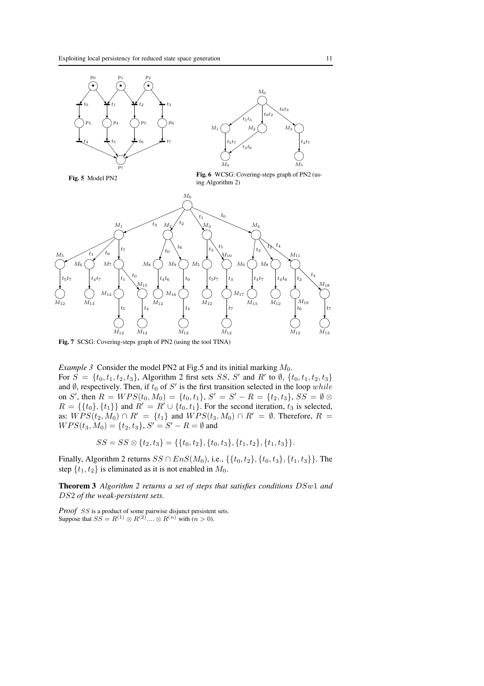

Fig. 7 SCSG: Covering-steps graph of PN2 (using the tool TINA)

*Example 3* Consider the model PN2 at Fig.5 and its initial marking  $M_0$ .

For  $S = \{t_0, t_1, t_2, t_3\}$ , Algorithm 2 first sets SS, S' and R' to Ø,  $\{t_0, t_1, t_2, t_3\}$ and  $\emptyset$ , respectively. Then, if  $t_0$  of  $S'$  is the first transition selected in the loop while on S', then  $R = WPS(t_0, M_0) = \{t_0, t_1\}$ ,  $S' = S' - R = \{t_2, t_3\}$ ,  $SS = \emptyset \otimes$  $R = \{\{t_0\}, \{t_1\}\}\$ and  $R' = R' \cup \{t_0, t_1\}$ . For the second iteration,  $t_3$  is selected, as:  $WPS(t_2, M_0) \cap R' = \{t_1\}$  and  $WPS(t_3, M_0) \cap R' = \emptyset$ . Therefore,  $R =$  $WPS(t_3, M_0) = \{t_2, t_3\}, S' = S' - R = \emptyset$  and

$$
SS = SS \otimes \{t_2, t_3\} = \{\{t_0, t_2\}, \{t_0, t_3\}, \{t_1, t_2\}, \{t_1, t_3\}\}.
$$

Finally, Algorithm 2 returns  $SS \cap Ens(M_0)$ , i.e., {{t<sub>0</sub>, t<sub>2</sub>}, {t<sub>0</sub>, t<sub>3</sub>}, {t<sub>1</sub>, t<sub>3</sub>}}. The step  $\{t_1, t_2\}$  is eliminated as it is not enabled in  $M_0$ .

Theorem 3 *Algorithm 2 returns a set of steps that satisfies conditions* DSw1 *and* DS2 *of the weak-persistent sets.*

*Proof* SS is a product of some pairwise disjunct persistent sets. Suppose that  $SS = R^{(1)} \otimes R^{(2)} \dots \otimes R^{(n)}$  with  $(n > 0)$ .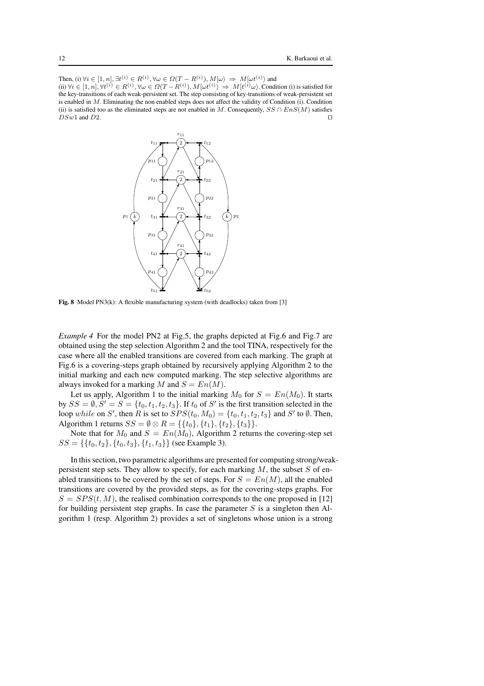Then, (i)  $\forall i \in [1, n], \exists t^{(i)} \in R^{(i)}, \forall \omega \in \Omega(T - R^{(i)}), M[\omega\rangle \Rightarrow M[\omega t^{(i)}\rangle$  and (ii)  $\forall i \in [1, n], \forall t^{(i)} \in R^{(i)}, \forall \omega \in \Omega(T - R^{(i)}), M[\omega t^{(i)} \rangle \Rightarrow M[t^{(i)}\omega)$ . Condition (i) is satisfied for the key-transitions of each weak-persistent set. The step consisting of key-transitions of weak-persistent set is enabled in M. Eliminating the non enabled steps does not affect the validity of Condition (i). Condition (ii) is satisfied too as the eliminated steps are not enabled in M. Consequently,  $SS \cap Ens(M)$  satisfies  $DSw1$  and  $D2$ . □



Fig. 8 Model PN3(k): A flexible manufacturing system (with deadlocks) taken from [3]

*Example 4* For the model PN2 at Fig.5, the graphs depicted at Fig.6 and Fig.7 are obtained using the step selection Algorithm 2 and the tool TINA, respectively for the case where all the enabled transitions are covered from each marking. The graph at Fig.6 is a covering-steps graph obtained by recursively applying Algorithm 2 to the initial marking and each new computed marking. The step selective algorithms are always invoked for a marking M and  $S = En(M)$ .

Let us apply, Algorithm 1 to the initial marking  $M_0$  for  $S = En(M_0)$ . It starts by  $SS = \emptyset$ ,  $S' = S = \{t_0, t_1, t_2, t_3\}$ . If  $t_0$  of  $S'$  is the first transition selected in the loop while on S', then R is set to  $SPS(t_0, M_0) = \{t_0, t_1, t_2, t_3\}$  and S' to Ø. Then, Algorithm 1 returns  $SS = \emptyset \otimes R = \{\{t_0\}, \{t_1\}, \{t_2\}, \{t_3\}\}.$ 

Note that for  $M_0$  and  $S = En(M_0)$ , Algorithm 2 returns the covering-step set  $SS = \{\{t_0, t_2\}, \{t_0, t_3\}, \{t_1, t_3\}\}\$  (see Example 3).

In this section, two parametric algorithms are presented for computing strong/weakpersistent step sets. They allow to specify, for each marking  $M$ , the subset  $S$  of enabled transitions to be covered by the set of steps. For  $S = En(M)$ , all the enabled transitions are covered by the provided steps, as for the covering-steps graphs. For  $S = SPS(t, M)$ , the realised combination corresponds to the one proposed in [12] for building persistent step graphs. In case the parameter  $S$  is a singleton then Algorithm 1 (resp. Algorithm 2) provides a set of singletons whose union is a strong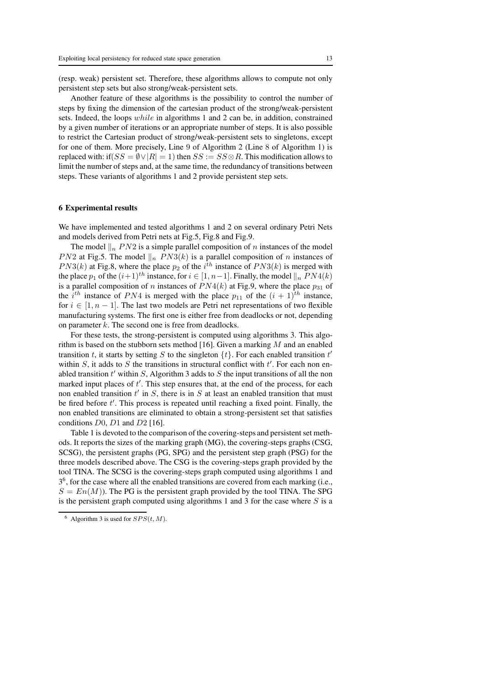(resp. weak) persistent set. Therefore, these algorithms allows to compute not only persistent step sets but also strong/weak-persistent sets.

Another feature of these algorithms is the possibility to control the number of steps by fixing the dimension of the cartesian product of the strong/weak-persistent sets. Indeed, the loops while in algorithms 1 and 2 can be, in addition, constrained by a given number of iterations or an appropriate number of steps. It is also possible to restrict the Cartesian product of strong/weak-persistent sets to singletons, except for one of them. More precisely, Line 9 of Algorithm 2 (Line 8 of Algorithm 1) is replaced with: if( $SS = \emptyset \vee |R| = 1$ ) then  $SS = SS \otimes R$ . This modification allows to limit the number of steps and, at the same time, the redundancy of transitions between steps. These variants of algorithms 1 and 2 provide persistent step sets.

#### 6 Experimental results

We have implemented and tested algorithms 1 and 2 on several ordinary Petri Nets and models derived from Petri nets at Fig.5, Fig.8 and Fig.9.

The model  $\|n\|_n P N2$  is a simple parallel composition of n instances of the model *PN*2 at Fig.5. The model  $\|n\|_n P N3(k)$  is a parallel composition of n instances of  $PN3(k)$  at Fig.8, where the place  $p_2$  of the  $i^{th}$  instance of  $PN3(k)$  is merged with the place  $p_1$  of the  $(i+1)$ <sup>th</sup> instance, for  $i \in [1, n-1]$ . Finally, the model  $||_n P N4(k)$ is a parallel composition of n instances of  $PN4(k)$  at Fig.9, where the place  $p_{31}$  of the *i*<sup>th</sup> instance of PN4 is merged with the place  $p_{11}$  of the  $(i + 1)$ <sup>th</sup> instance, for  $i \in [1, n-1]$ . The last two models are Petri net representations of two flexible manufacturing systems. The first one is either free from deadlocks or not, depending on parameter  $k$ . The second one is free from deadlocks.

For these tests, the strong-persistent is computed using algorithms 3. This algorithm is based on the stubborn sets method [16]. Given a marking  $M$  and an enabled transition t, it starts by setting S to the singleton  $\{t\}$ . For each enabled transition t' within  $S$ , it adds to  $S$  the transitions in structural conflict with  $t'$ . For each non enabled transition  $t'$  within  $S$ , Algorithm 3 adds to  $S$  the input transitions of all the non marked input places of  $t'$ . This step ensures that, at the end of the process, for each non enabled transition  $t'$  in  $S$ , there is in  $S$  at least an enabled transition that must be fired before t'. This process is repeated until reaching a fixed point. Finally, the non enabled transitions are eliminated to obtain a strong-persistent set that satisfies conditions  $D0$ ,  $D1$  and  $D2$  [16].

Table 1 is devoted to the comparison of the covering-steps and persistent set methods. It reports the sizes of the marking graph (MG), the covering-steps graphs (CSG, SCSG), the persistent graphs (PG, SPG) and the persistent step graph (PSG) for the three models described above. The CSG is the covering-steps graph provided by the tool TINA. The SCSG is the covering-steps graph computed using algorithms 1 and  $3<sup>6</sup>$ , for the case where all the enabled transitions are covered from each marking (i.e.,  $S = En(M)$ ). The PG is the persistent graph provided by the tool TINA. The SPG is the persistent graph computed using algorithms 1 and 3 for the case where  $S$  is a

<sup>&</sup>lt;sup>6</sup> Algorithm 3 is used for  $SPS(t, M)$ .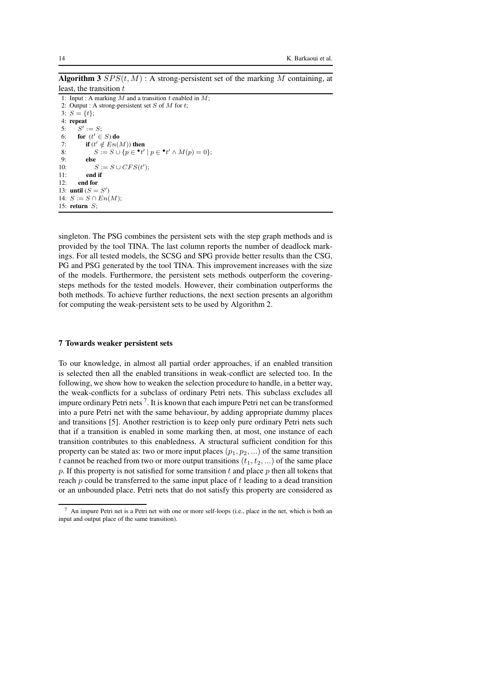**Algorithm 3**  $SPS(t, M)$ : A strong-persistent set of the marking M containing, at least, the transition  $t$ 

1: Input : A marking  $M$  and a transition  $t$  enabled in  $M$ ; 2: Output : A strong-persistent set  $S$  of  $M$  for  $t$ ; 3:  $S = \{t\};$ 4: repeat 5:  $S' := S;$ 6: for  $(t' \in S)$  do 7: if  $(t' \notin En(M))$  then 8:  $S := S \cup \{p \in \mathbf{P}^t \mid p \in \mathbf{P}^t \land M(p) = 0\};$ 9: else 10:  $S := S \cup CFS(t')$ ; 11: end if 12: end for 13: **until**  $(S = S')$ 14:  $S := S \cap En(M);$ 15: return S;

singleton. The PSG combines the persistent sets with the step graph methods and is provided by the tool TINA. The last column reports the number of deadlock markings. For all tested models, the SCSG and SPG provide better results than the CSG, PG and PSG generated by the tool TINA. This improvement increases with the size of the models. Furthermore, the persistent sets methods outperform the coveringsteps methods for the tested models. However, their combination outperforms the both methods. To achieve further reductions, the next section presents an algorithm for computing the weak-persistent sets to be used by Algorithm 2.

## 7 Towards weaker persistent sets

To our knowledge, in almost all partial order approaches, if an enabled transition is selected then all the enabled transitions in weak-conflict are selected too. In the following, we show how to weaken the selection procedure to handle, in a better way, the weak-conflicts for a subclass of ordinary Petri nets. This subclass excludes all impure ordinary Petri nets  $^7$ . It is known that each impure Petri net can be transformed into a pure Petri net with the same behaviour, by adding appropriate dummy places and transitions [5]. Another restriction is to keep only pure ordinary Petri nets such that if a transition is enabled in some marking then, at most, one instance of each transition contributes to this enabledness. A structural sufficient condition for this property can be stated as: two or more input places  $(p_1, p_2, ...)$  of the same transition t cannot be reached from two or more output transitions  $(t_1, t_2, ...)$  of the same place  $p$ . If this property is not satisfied for some transition  $t$  and place  $p$  then all tokens that reach  $p$  could be transferred to the same input place of  $t$  leading to a dead transition or an unbounded place. Petri nets that do not satisfy this property are considered as

An impure Petri net is a Petri net with one or more self-loops (i.e., place in the net, which is both an input and output place of the same transition).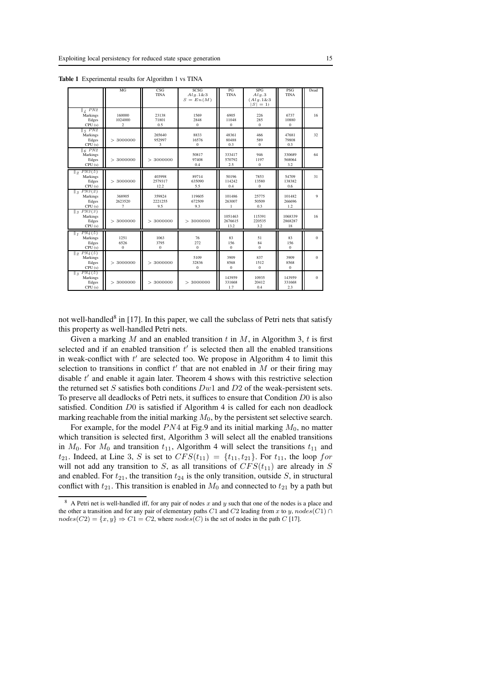|                                                                             | MG                                  | CSG<br><b>TINA</b>           | SCSG<br>Alq.1&83<br>$S = En(M)$ | PG<br><b>TINA</b>             | <b>SPG</b><br>Alg.3<br>(Alg.1&3<br>$ S =1$ | <b>PSG</b><br><b>TINA</b>     | Dead         |
|-----------------------------------------------------------------------------|-------------------------------------|------------------------------|---------------------------------|-------------------------------|--------------------------------------------|-------------------------------|--------------|
| $\sqrt{4 P N2}$<br>Markings<br>Edges<br>CPU(s)                              | 160000<br>1024000<br>$\overline{c}$ | 23138<br>71801<br>0.5        | 1569<br>2848<br>$\mathbf{0}$    | 6905<br>11048<br>$\mathbf{0}$ | 226<br>285<br>$\overline{0}$               | 6737<br>10880<br>$\mathbf{0}$ | 16           |
| $\frac{1}{5}$ PN2<br>Markings<br>Edges<br>CPU(s)                            | > 3000000                           | 265640<br>952997<br>3        | 8833<br>16576<br>$\Omega$       | 48361<br>80488<br>0.3         | 466<br>589<br>$\Omega$                     | 47681<br>79808<br>0.3         | 32           |
| $\overline{6}$ PN2<br>Markings<br>Edges<br>CPU(s)                           | > 3000000                           | 3000000<br>$\,>\,$           | 50817<br>97408<br>0.4           | 333417<br>570792<br>2.5       | 946<br>1197<br>$\mathbf{0}$                | 330689<br>568064<br>3.2       | 64           |
| $\parallel$ <sub>2</sub> PN <sub>3</sub> (5)<br>Markings<br>Edges<br>CPU(s) | > 3000000                           | 403998<br>2579317<br>12.2    | 89714<br>635090<br>5.5          | 50196<br>114242<br>0.4        | 7853<br>13580<br>$\mathbf{0}$              | 54709<br>138382<br>0.6        | 31           |
| $\parallel$ <sub>3</sub> PN3(2)<br>Markings<br>Edges<br>CPU(s)              | 368905<br>2623520<br>7              | 359824<br>2221255<br>9.5     | 119605<br>672509<br>9.3         | 101486<br>263007<br>1         | 25775<br>50509<br>0.3                      | 101482<br>266696<br>1.2       | 9            |
| $\parallel$ <sub>3</sub> PN3(3)<br>Markings<br>Edges<br>CPU(s)              | > 3000000                           | >3000000                     | > 3000000                       | 1051463<br>2676615<br>13.2    | 115391<br>220535<br>3.2                    | 1068339<br>2868287<br>18      | 16           |
| $\parallel_1 PN_4(5)$<br>Markings<br>Edges<br>CPU(s)                        | 1251<br>6526<br>$\mathbf{0}$        | 1063<br>3795<br>$\mathbf{0}$ | 76<br>272<br>$\Omega$           | 83<br>156<br>$\Omega$         | 51<br>84<br>$\Omega$                       | 83<br>156<br>$\Omega$         | $\mathbf{0}$ |
| $\parallel_{\mathcal{D}} PN_4(5)$<br>Markings<br>Edges<br>CPU(s)            | > 3000000                           | 3000000<br>$\,>\,$           | 5109<br>32836<br>$\Omega$       | 3909<br>8568<br>$\Omega$      | 837<br>1512<br>$\Omega$                    | 3909<br>8568<br>$\mathbf{0}$  | $\Omega$     |
| $\parallel$ <sub>3</sub> PN <sub>4</sub> (5)<br>Markings<br>Edges<br>CPU(s) | >3000000                            | 3000000<br>$\,>\,$           | > 3000000                       | 143959<br>331668<br>1.7       | 10935<br>20412<br>0.4                      | 143959<br>331668<br>2.3       | $\mathbf{0}$ |

Table 1 Experimental results for Algorithm 1 vs TINA

not well-handled<sup>8</sup> in [17]. In this paper, we call the subclass of Petri nets that satisfy this property as well-handled Petri nets.

Given a marking M and an enabled transition t in M, in Algorithm 3, t is first selected and if an enabled transition  $t'$  is selected then all the enabled transitions in weak-conflict with  $t'$  are selected too. We propose in Algorithm 4 to limit this selection to transitions in conflict  $t'$  that are not enabled in  $M$  or their firing may disable t' and enable it again later. Theorem 4 shows with this restrictive selection the returned set S satisfies both conditions  $Dw1$  and  $D2$  of the weak-persistent sets. To preserve all deadlocks of Petri nets, it suffices to ensure that Condition D0 is also satisfied. Condition  $D0$  is satisfied if Algorithm 4 is called for each non deadlock marking reachable from the initial marking  $M_0$ , by the persistent set selective search.

For example, for the model  $PN4$  at Fig.9 and its initial marking  $M_0$ , no matter which transition is selected first, Algorithm 3 will select all the enabled transitions in  $M_0$ . For  $M_0$  and transition  $t_{11}$ , Algorithm 4 will select the transitions  $t_{11}$  and  $t_{21}$ . Indeed, at Line 3, S is set to  $CFS(t_{11}) = \{t_{11}, t_{21}\}$ . For  $t_{11}$ , the loop for will not add any transition to S, as all transitions of  $CFS(t_{11})$  are already in S and enabled. For  $t_{21}$ , the transition  $t_{24}$  is the only transition, outside S, in structural conflict with  $t_{21}$ . This transition is enabled in  $M_0$  and connected to  $t_{21}$  by a path but

<sup>&</sup>lt;sup>8</sup> A Petri net is well-handled iff, for any pair of nodes x and y such that one of the nodes is a place and the other a transition and for any pair of elementary paths C1 and C2 leading from x to y,  $nodes(C1)$  ∩  $nodes(C2) = \{x, y\} \Rightarrow C1 = C2$ , where  $nodes(C)$  is the set of nodes in the path C [17].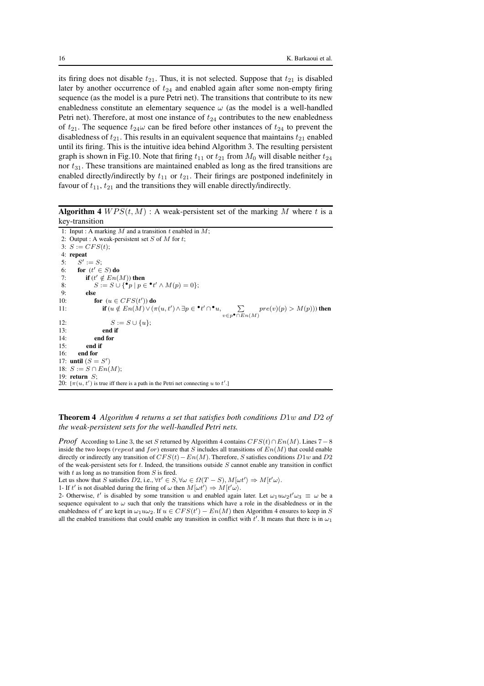its firing does not disable  $t_{21}$ . Thus, it is not selected. Suppose that  $t_{21}$  is disabled later by another occurrence of  $t_{24}$  and enabled again after some non-empty firing sequence (as the model is a pure Petri net). The transitions that contribute to its new enabledness constitute an elementary sequence  $\omega$  (as the model is a well-handled Petri net). Therefore, at most one instance of  $t_{24}$  contributes to the new enabledness of  $t_{21}$ . The sequence  $t_{24}\omega$  can be fired before other instances of  $t_{24}$  to prevent the disabledness of  $t_{21}$ . This results in an equivalent sequence that maintains  $t_{21}$  enabled until its firing. This is the intuitive idea behind Algorithm 3. The resulting persistent graph is shown in Fig.10. Note that firing  $t_{11}$  or  $t_{21}$  from  $M_0$  will disable neither  $t_{24}$ nor  $t_{31}$ . These transitions are maintained enabled as long as the fired transitions are enabled directly/indirectly by  $t_{11}$  or  $t_{21}$ . Their firings are postponed indefinitely in favour of  $t_{11}$ ,  $t_{21}$  and the transitions they will enable directly/indirectly.

**Algorithm 4**  $WPS(t, M)$ : A weak-persistent set of the marking M where t is a key-transition

```
1: Input : A marking M and a transition t enabled in M;
 2: Output : A weak-persistent set S of M for t;
 3: S := CFS(t);4: repeat
 5: S
          ' := S;6: for (t' \in S) do
 7: if (t' \notin En(M)) then
 8: S := S \cup \{ \cdot^{\bullet} p \mid p \in \cdot^{\bullet} t' \wedge M(p) = 0 \};9. else
10: for (u \in CFS(t')) do
11: if (u \notin En(M) \vee (\pi(u, t') \wedge \exists p \in \bullet t' \cap \bullet u, \sum_{v \in p \bullet \cap En(M)} pre(v)(p) > M(p)) then
12: S := S \cup \{u\};13: end if<br>14: end for
              end for
15<sup>\cdot</sup> end if
16: end for
17: until (S = S')18: S := S \cap En(M);19: return S;
20: [\pi(u, t')] is true iff there is a path in the Petri net connecting u to t'.]
```
Theorem 4 *Algorithm 4 returns a set that satisfies both conditions* D1w *and* D2 *of the weak-persistent sets for the well-handled Petri nets.*

*Proof* According to Line 3, the set S returned by Algorithm 4 contains  $CFS(t) \cap En(M)$ . Lines 7 – 8 inside the two loops (repeat and for) ensure that S includes all transitions of  $En(M)$  that could enable directly or indirectly any transition of  $CFS(t)$  –  $En(M)$ . Therefore, S satisfies conditions  $D1w$  and  $D2$ of the weak-persistent sets for  $t$ . Indeed, the transitions outside  $S$  cannot enable any transition in conflict with  $t$  as long as no transition from  $S$  is fired.

Let us show that S satisfies D2, i.e.,  $\forall t' \in S, \forall \omega \in \Omega(T - S), M[\omega t' \rangle \Rightarrow M[t'\omega)$ .

1- If t' is not disabled during the firing of  $\omega$  then  $M[\omega t'] \Rightarrow M[t'\omega]$ .

2- Otherwise, t' is disabled by some transition u and enabled again later. Let  $\omega_1 u \omega_2 t' \omega_3 \equiv \omega$  be a sequence equivalent to  $\omega$  such that only the transitions which have a role in the disabledness or in the enabledness of t' are kept in  $\omega_1 u \omega_2$ . If  $u \in CFS(t') - En(M)$  then Algorithm 4 ensures to keep in S all the enabled transitions that could enable any transition in conflict with  $t'$ . It means that there is in  $\omega_1$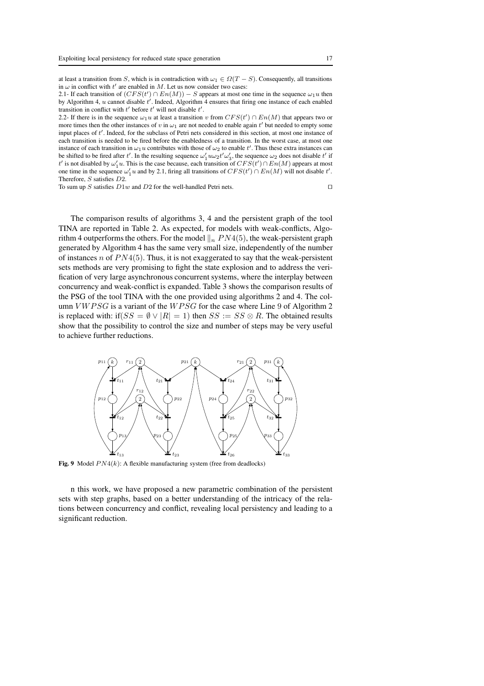at least a transition from S, which is in contradiction with  $\omega_1 \in \Omega(T - S)$ . Consequently, all transitions in  $\omega$  in conflict with  $t'$  are enabled in M. Let us now consider two cases:

2.1- If each transition of  $(CFS(t') \cap En(M)) - S$  appears at most one time in the sequence  $\omega_1 u$  then by Algorithm 4,  $u$  cannot disable  $t'$ . Indeed, Algorithm 4 ensures that firing one instance of each enabled transition in conflict with  $t'$  before  $t'$  will not disable  $t'$ .

2.2- If there is in the sequence  $\omega_1 u$  at least a transition v from  $CFS(t') \cap En(M)$  that appears two or more times then the other instances of v in  $\omega_1$  are not needed to enable again t' but needed to empty some input places of t'. Indeed, for the subclass of Petri nets considered in this section, at most one instance of each transition is needed to be fired before the enabledness of a transition. In the worst case, at most one instance of each transition in  $\omega_1 u$  contributes with those of  $\omega_2$  to enable t'. Thus these extra instances can be shifted to be fired after t'. In the resulting sequence  $\omega'_1 u \omega_2 t' \omega'_3$ , the sequence  $\omega_2$  does not disable t' if t' is not disabled by  $\omega_1' u$ . This is the case because, each transition of  $CFS(t') \cap En(M)$  appears at most one time in the sequence  $\omega'_1 u$  and by 2.1, firing all transitions of  $CFS(t') \cap En(M)$  will not disable t'. Therefore, S satisfies D2.

To sum up S satisfies  $D1w$  and  $D2$  for the well-handled Petri nets. □

The comparison results of algorithms 3, 4 and the persistent graph of the tool TINA are reported in Table 2. As expected, for models with weak-conflicts, Algorithm 4 outperforms the others. For the model  $\|_n P N4(5)$ , the weak-persistent graph generated by Algorithm 4 has the same very small size, independently of the number of instances n of  $PN4(5)$ . Thus, it is not exaggerated to say that the weak-persistent sets methods are very promising to fight the state explosion and to address the verification of very large asynchronous concurrent systems, where the interplay between concurrency and weak-conflict is expanded. Table 3 shows the comparison results of the PSG of the tool TINA with the one provided using algorithms 2 and 4. The column  $VWPSG$  is a variant of the  $WPSG$  for the case where Line 9 of Algorithm 2 is replaced with: if( $SS = \emptyset \vee |R| = 1$ ) then  $SS = SS \otimes R$ . The obtained results show that the possibility to control the size and number of steps may be very useful to achieve further reductions.



Fig. 9 Model  $PN4(k)$ : A flexible manufacturing system (free from deadlocks)

n this work, we have proposed a new parametric combination of the persistent sets with step graphs, based on a better understanding of the intricacy of the relations between concurrency and conflict, revealing local persistency and leading to a significant reduction.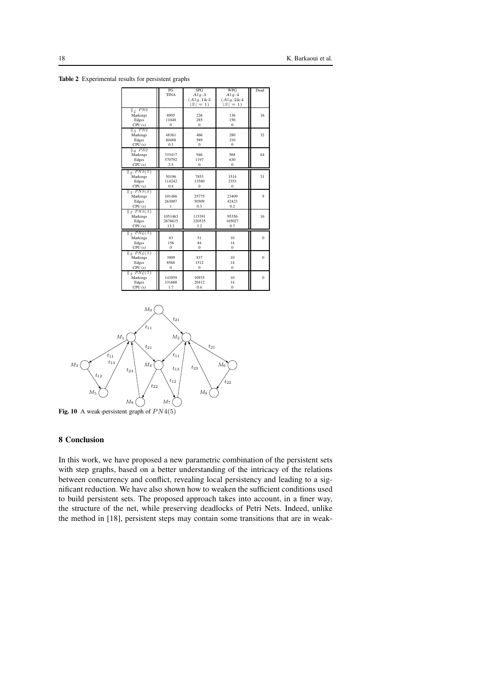|                                          | PG             | SPG            | WPG             | Dead         |
|------------------------------------------|----------------|----------------|-----------------|--------------|
|                                          | <b>TINA</b>    | Alg.3          | Alq.4           |              |
|                                          |                | $(Alq.1 \& 3)$ | $(Alg. 2 \& 4)$ |              |
|                                          |                | $S = 1$        | $ S  = 1$       |              |
| $\frac{1}{4}$ PN <sub>2</sub>            |                |                |                 |              |
| Markings                                 | 6905           | 226            | 136             | 16           |
| Edges                                    | 11048          | 285            | 150             |              |
| CPU(s)                                   | $\Omega$       | $\Omega$       | $\mathbf{0}$    |              |
| $\frac{1}{5}$ PN <sub>2</sub>            |                |                |                 |              |
| Markings                                 | 48361          | 466            | 280             | 32           |
| Edges                                    | 80488          | 589            | 310             |              |
| CPU(s)                                   | 0.3            | $\Omega$       | $\Omega$        |              |
| $\parallel$ <sub>6</sub> PN <sub>2</sub> |                |                |                 |              |
| Markings                                 | 333417         | 946            | 568             | 64           |
| Edges                                    | 570792         | 1197           | 630             |              |
| CPU(s)                                   | 2.5            | $\bf{0}$       | $\mathbf{0}$    |              |
| $\parallel$ <sub>2</sub> PN3(5)          |                |                |                 |              |
| Markings                                 | 50196          | 7853           | 1514            | 31           |
| Edges                                    | 114242         | 13580          | 2353            |              |
| CPU(s)                                   | 0.4            | $\bf{0}$       | 0               |              |
| $\parallel$ <sub>3</sub> $PN3(2)$        |                |                |                 |              |
| Markings                                 | 101486         | 25775          | 23409           | 9            |
| Edges                                    | 263007         | 50509          | 42423           |              |
| CPU(s)                                   | 1              | 0.3            | 0.2             |              |
| $\parallel$ <sub>3</sub> $PN3(3)$        |                |                |                 |              |
| Markings                                 | 1051463        | 115391         | 95356           | 16           |
| Edges                                    | 2676615        | 220535         | 165027          |              |
| CPU(s)                                   | 13.2           | 3.2            | 0.7             |              |
| $\parallel_1 PN_4(5)$                    |                |                |                 |              |
| Markings                                 | 83             | 51             | 10              | $\mathbf{0}$ |
| Edges                                    | 156            | 84             | 14              |              |
| CPU(s)                                   | $\Omega$       | $\Omega$       | $\Omega$        |              |
| $\parallel$ $\varrho$ PN4(5)             |                |                |                 |              |
| Markings                                 | 3909           | 837            | 10              | $\mathbf{0}$ |
| Edges                                    | 8568           | 1512           | 14              |              |
| CPU(s)                                   | $\overline{0}$ | $\overline{0}$ | $\mathbf{0}$    |              |
| $\parallel$ <sub>3</sub> $PN4(5)$        |                |                |                 |              |
| Markings                                 | 143959         | 10935          | 10              | $\mathbf{0}$ |
| Edges                                    | 331668         | 20412          | 14              |              |
|                                          |                |                |                 |              |
| CPU(s)                                   | 1.7            | 0.4            | $\mathbf{0}$    |              |

Table 2 Experimental results for persistent graphs



Fig. 10 A weak-persistent graph of  $PN4(5)$ 

## 8 Conclusion

In this work, we have proposed a new parametric combination of the persistent sets with step graphs, based on a better understanding of the intricacy of the relations between concurrency and conflict, revealing local persistency and leading to a significant reduction. We have also shown how to weaken the sufficient conditions used to build persistent sets. The proposed approach takes into account, in a finer way, the structure of the net, while preserving deadlocks of Petri Nets. Indeed, unlike the method in [18], persistent steps may contain some transitions that are in weak-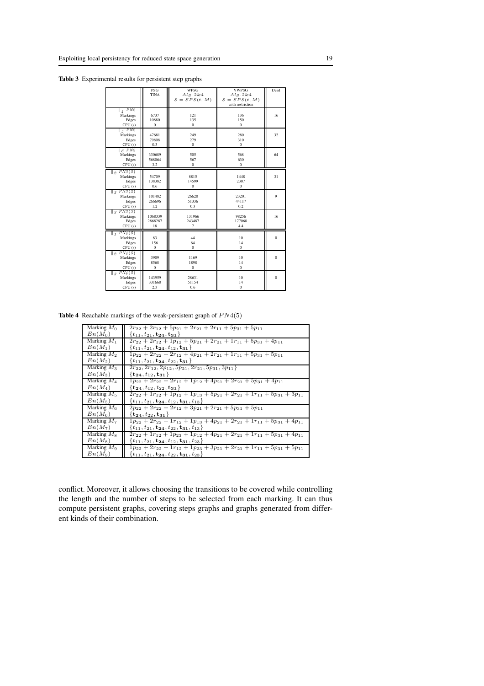Table 3 Experimental results for persistent step graphs

|                                                                             | PSG<br><b>TINA</b>           | WPSG<br>Alq.2&4              | <b>VWPSG</b><br>Alq. 2 & 4          | Dead           |
|-----------------------------------------------------------------------------|------------------------------|------------------------------|-------------------------------------|----------------|
|                                                                             |                              | $S = SPS(t, M)$              | $S = SPS(t, M)$<br>with restriction |                |
| $\parallel$ 4 PN2<br>Markings                                               | 6737                         | 121                          | 136                                 | 16             |
| Edges<br>CPU(s)                                                             | 10880<br>$\mathbf{0}$        | 135<br>$\mathbf{0}$          | 150<br>$\mathbf{0}$                 |                |
| $\parallel$ 5 PN2<br>Markings                                               | 47681                        | 249                          | 280                                 | 32             |
| Edges<br>CPU(s)                                                             | 79808<br>0.3                 | 279<br>$\mathbf{0}$          | 310<br>$\mathbf{0}$                 |                |
| $\parallel$ <sub>6</sub> PN <sub>2</sub><br>Markings                        | 330689                       | 505                          | 568                                 | 64             |
| Edges<br>CPU(s)                                                             | 568064<br>3.2                | 567<br>$\boldsymbol{0}$      | 630<br>$\mathbf{0}$                 |                |
| $\parallel_2$ PN3(5)<br>Markings                                            | 54709                        | 8815                         | 1448                                | 31             |
| Edges<br>CPU(s)                                                             | 138382<br>0.6                | 14599<br>$\bf{0}$            | 2307<br>$\mathbf{0}$                |                |
| $\parallel$ <sub>3</sub> PN3(2)<br>Markings                                 | 101482                       | 26620                        | 23201                               | 9              |
| Edges<br>CPU(s)                                                             | 266696<br>1.2                | 51336<br>0.3                 | 44117<br>0.2                        |                |
| $\parallel$ <sub>3</sub> PN3(3)<br>Markings<br>Edges<br>CPU(s)              | 1068339<br>2868287<br>18     | 131966<br>243487<br>7        | 98256<br>177068<br>4.4              | 16             |
| $\parallel_1 PN_4(5)$<br>Markings                                           | 83                           | 44                           | 10                                  | $\theta$       |
| Edges<br>CPU(s)                                                             | 156<br>$\mathbf{0}$          | 64<br>$\Omega$               | 14<br>$\mathbf{0}$                  |                |
| $\parallel_2$ $PN4(5)$<br>Markings<br>Edges<br>CPU(s)                       | 3909<br>8568<br>$\mathbf{0}$ | 1169<br>1898<br>$\mathbf{0}$ | 10<br>14<br>$\mathbf{0}$            | $\theta$       |
| $\parallel$ <sub>3</sub> PN <sub>4</sub> (5)<br>Markings<br>Edges<br>CPU(s) | 143959<br>331668<br>2.3      | 28631<br>51154<br>0.6        | 10<br>14<br>$\boldsymbol{0}$        | $\overline{0}$ |

Table 4 Reachable markings of the weak-persistent graph of  $PN4(5)$ 

| Marking $M_0$ | $2r_{22} + 2r_{12} + 5p_{21} + 2r_{21} + 2r_{11} + 5p_{31} + 5p_{11}$                     |
|---------------|-------------------------------------------------------------------------------------------|
| $En(M_0)$     | $\{t_{11}, t_{21}, \mathbf{t_{24}}, \mathbf{t_{31}}\}$                                    |
| Marking $M_1$ | $2r_{22} + 2r_{12} + 1p_{12} + 5p_{21} + 2r_{21} + 1r_{11} + 5p_{31} + 4p_{11}$           |
| $En(M_1)$     | $\{t_{11}, t_{21}, \mathbf{t_{24}}, t_{12}, \mathbf{t_{31}}\}$                            |
| Marking $M_2$ | $1p_{22} + 2r_{22} + 2r_{12} + 4p_{21} + 2r_{21} + 1r_{11} + 5p_{31} + 5p_{11}$           |
| $En(M_2)$     | $\{t_{11}, t_{21}, \mathbf{t_{24}}, t_{22}, \mathbf{t_{31}}\}$                            |
| Marking $M_3$ | $2r_{22}, 2r_{12}, 2p_{12}, 5p_{21}, 2r_{21}, 5p_{31}, 3p_{11}$                           |
| $En(M_3)$     | $\{{\bf t_{24}}, t_{12}, {\bf t_{31}}\}$                                                  |
| Marking $M_4$ | $1p_{22} + 2r_{22} + 2r_{12} + 1p_{12} + 4p_{21} + 2r_{21} + 5p_{31} + 4p_{11}$           |
| $En(M_4)$     | $\{t_{24}, t_{12}, t_{22}, t_{31}\}$                                                      |
| Marking $M_5$ | $2r_{22} + 1r_{12} + 1p_{12} + 1p_{13} + 5p_{21} + 2r_{21} + 1r_{11} + 5p_{31} + 3p_{11}$ |
| $En(M_5)$     | $\{t_{11}, t_{21}, \mathbf{t_{24}}, t_{12}, \mathbf{t_{31}}, t_{13}\}\$                   |
| Marking $M_6$ | $2p_{22} + 2r_{22} + 2r_{12} + 3p_{21} + 2r_{21} + 5p_{31} + 5p_{11}$                     |
| $En(M_6)$     | $\{{\bf t_{24}}, t_{22}, {\bf t_{31}}\}$                                                  |
| Marking $M_7$ | $1p_{22} + 2r_{22} + 1r_{12} + 1p_{13} + 4p_{21} + 2r_{21} + 1r_{11} + 5p_{31} + 4p_{11}$ |
| $En(M_7)$     | $\{t_{11}, t_{21}, \mathbf{t_{24}}, t_{22}, \mathbf{t_{31}}, t_{13}\}\$                   |
| Marking $M_8$ | $2r_{22} + 1r_{12} + 1p_{23} + 1p_{12} + 4p_{21} + 2r_{21} + 1r_{11} + 5p_{31} + 4p_{11}$ |
| $En(M_8)$     | $\{t_{11}, t_{21}, \mathbf{t_{24}}, t_{12}, \mathbf{t_{31}}, t_{23}\}$                    |
| Marking $M_9$ | $1p_{22} + 2r_{22} + 1r_{12} + 1p_{23} + 3p_{21} + 2r_{21} + 1r_{11} + 5p_{31} + 5p_{11}$ |
| $En(M_9)$     | $\{t_{11}, t_{21}, \mathbf{t_{24}}, t_{22}, \mathbf{t_{31}}, t_{23}\}$                    |

conflict. Moreover, it allows choosing the transitions to be covered while controlling the length and the number of steps to be selected from each marking. It can thus compute persistent graphs, covering steps graphs and graphs generated from different kinds of their combination.